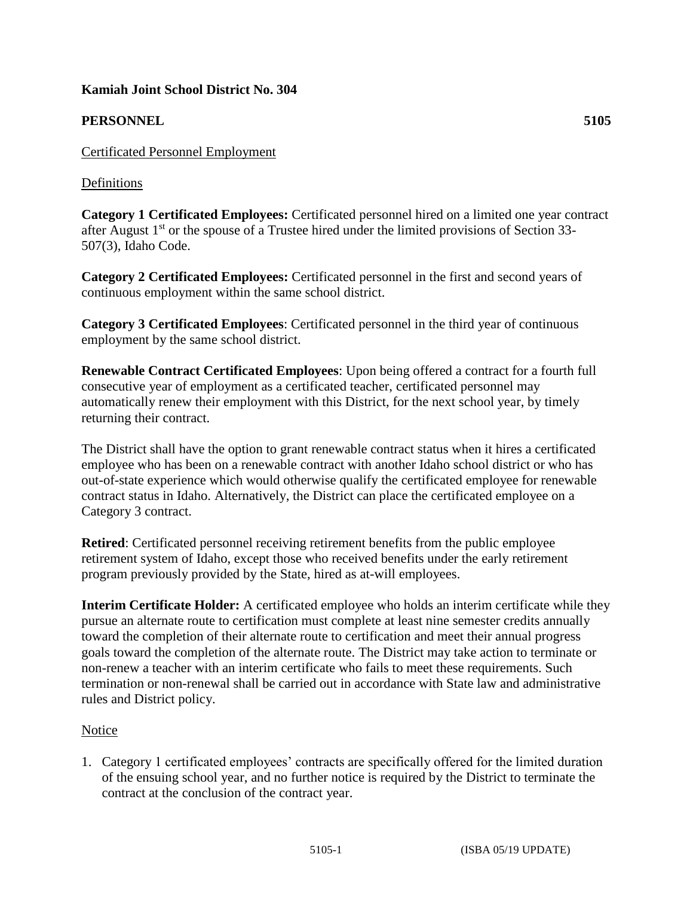# **Kamiah Joint School District No. 304**

# **PERSONNEL 5105**

### Definitions

**Category 1 Certificated Employees:** Certificated personnel hired on a limited one year contract after August  $1<sup>st</sup>$  or the spouse of a Trustee hired under the limited provisions of Section 33-507(3), Idaho Code.

**Category 2 Certificated Employees:** Certificated personnel in the first and second years of continuous employment within the same school district.

**Category 3 Certificated Employees**: Certificated personnel in the third year of continuous employment by the same school district.

**Renewable Contract Certificated Employees**: Upon being offered a contract for a fourth full consecutive year of employment as a certificated teacher, certificated personnel may automatically renew their employment with this District, for the next school year, by timely returning their contract.

The District shall have the option to grant renewable contract status when it hires a certificated employee who has been on a renewable contract with another Idaho school district or who has out-of-state experience which would otherwise qualify the certificated employee for renewable contract status in Idaho. Alternatively, the District can place the certificated employee on a Category 3 contract.

**Retired**: Certificated personnel receiving retirement benefits from the public employee retirement system of Idaho, except those who received benefits under the early retirement program previously provided by the State, hired as at-will employees.

**Interim Certificate Holder:** A certificated employee who holds an interim certificate while they pursue an alternate route to certification must complete at least nine semester credits annually toward the completion of their alternate route to certification and meet their annual progress goals toward the completion of the alternate route. The District may take action to terminate or non-renew a teacher with an interim certificate who fails to meet these requirements. Such termination or non-renewal shall be carried out in accordance with State law and administrative rules and District policy.

# Notice

1. Category 1 certificated employees' contracts are specifically offered for the limited duration of the ensuing school year, and no further notice is required by the District to terminate the contract at the conclusion of the contract year.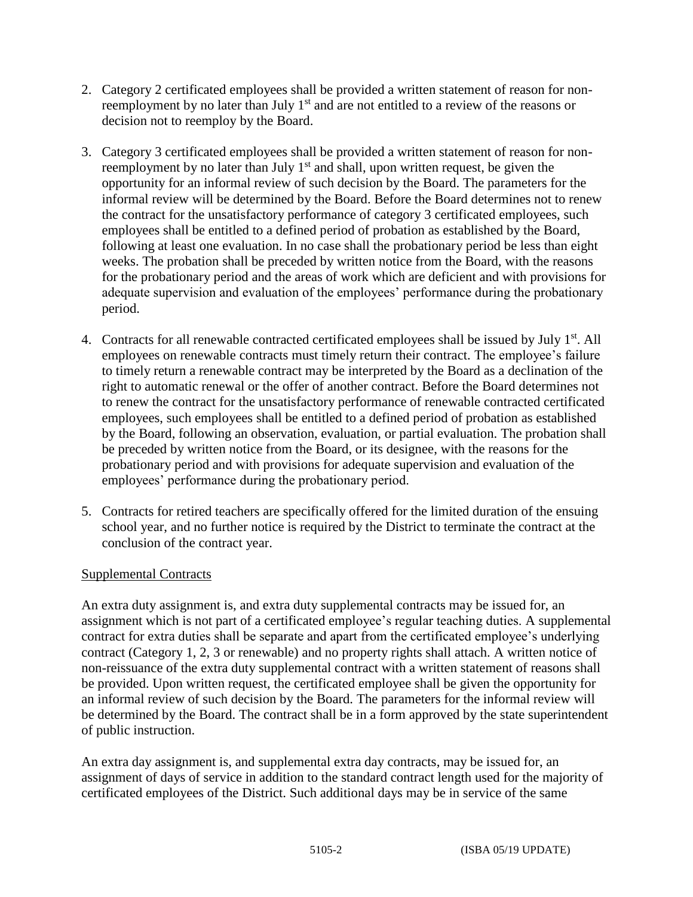- 2. Category 2 certificated employees shall be provided a written statement of reason for nonreemployment by no later than July  $1<sup>st</sup>$  and are not entitled to a review of the reasons or decision not to reemploy by the Board.
- 3. Category 3 certificated employees shall be provided a written statement of reason for nonreemployment by no later than July 1<sup>st</sup> and shall, upon written request, be given the opportunity for an informal review of such decision by the Board. The parameters for the informal review will be determined by the Board. Before the Board determines not to renew the contract for the unsatisfactory performance of category 3 certificated employees, such employees shall be entitled to a defined period of probation as established by the Board, following at least one evaluation. In no case shall the probationary period be less than eight weeks. The probation shall be preceded by written notice from the Board, with the reasons for the probationary period and the areas of work which are deficient and with provisions for adequate supervision and evaluation of the employees' performance during the probationary period.
- 4. Contracts for all renewable contracted certificated employees shall be issued by July 1<sup>st</sup>. All employees on renewable contracts must timely return their contract. The employee's failure to timely return a renewable contract may be interpreted by the Board as a declination of the right to automatic renewal or the offer of another contract. Before the Board determines not to renew the contract for the unsatisfactory performance of renewable contracted certificated employees, such employees shall be entitled to a defined period of probation as established by the Board, following an observation, evaluation, or partial evaluation. The probation shall be preceded by written notice from the Board, or its designee, with the reasons for the probationary period and with provisions for adequate supervision and evaluation of the employees' performance during the probationary period.
- 5. Contracts for retired teachers are specifically offered for the limited duration of the ensuing school year, and no further notice is required by the District to terminate the contract at the conclusion of the contract year.

# Supplemental Contracts

An extra duty assignment is, and extra duty supplemental contracts may be issued for, an assignment which is not part of a certificated employee's regular teaching duties. A supplemental contract for extra duties shall be separate and apart from the certificated employee's underlying contract (Category 1, 2, 3 or renewable) and no property rights shall attach. A written notice of non-reissuance of the extra duty supplemental contract with a written statement of reasons shall be provided. Upon written request, the certificated employee shall be given the opportunity for an informal review of such decision by the Board. The parameters for the informal review will be determined by the Board. The contract shall be in a form approved by the state superintendent of public instruction.

An extra day assignment is, and supplemental extra day contracts, may be issued for, an assignment of days of service in addition to the standard contract length used for the majority of certificated employees of the District. Such additional days may be in service of the same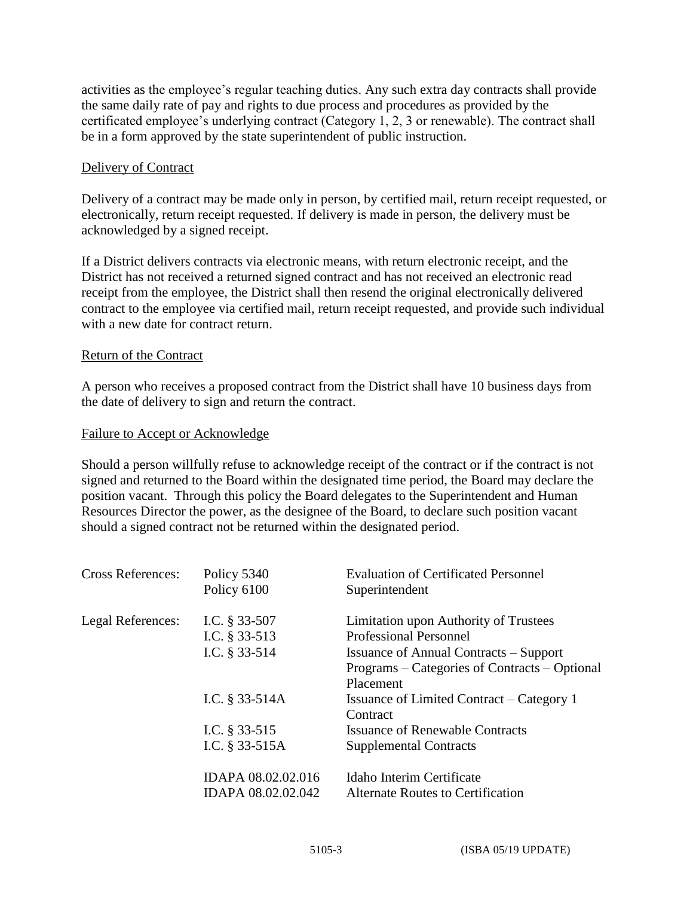activities as the employee's regular teaching duties. Any such extra day contracts shall provide the same daily rate of pay and rights to due process and procedures as provided by the certificated employee's underlying contract (Category 1, 2, 3 or renewable). The contract shall be in a form approved by the state superintendent of public instruction.

#### Delivery of Contract

Delivery of a contract may be made only in person, by certified mail, return receipt requested, or electronically, return receipt requested. If delivery is made in person, the delivery must be acknowledged by a signed receipt.

If a District delivers contracts via electronic means, with return electronic receipt, and the District has not received a returned signed contract and has not received an electronic read receipt from the employee, the District shall then resend the original electronically delivered contract to the employee via certified mail, return receipt requested, and provide such individual with a new date for contract return.

#### Return of the Contract

A person who receives a proposed contract from the District shall have 10 business days from the date of delivery to sign and return the contract.

#### Failure to Accept or Acknowledge

Should a person willfully refuse to acknowledge receipt of the contract or if the contract is not signed and returned to the Board within the designated time period, the Board may declare the position vacant. Through this policy the Board delegates to the Superintendent and Human Resources Director the power, as the designee of the Board, to declare such position vacant should a signed contract not be returned within the designated period.

| <b>Cross References:</b> | Policy 5340<br>Policy 6100 | <b>Evaluation of Certificated Personnel</b><br>Superintendent |
|--------------------------|----------------------------|---------------------------------------------------------------|
| Legal References:        | I.C. $§$ 33-507            | Limitation upon Authority of Trustees                         |
|                          | I.C. § 33-513              | <b>Professional Personnel</b>                                 |
|                          | I.C. § 33-514              | <b>Issuance of Annual Contracts – Support</b>                 |
|                          |                            | Programs – Categories of Contracts – Optional                 |
|                          |                            | Placement                                                     |
|                          | I.C. § 33-514A             | Issuance of Limited Contract – Category 1                     |
|                          |                            | Contract                                                      |
|                          | I.C. $§$ 33-515            | <b>Issuance of Renewable Contracts</b>                        |
|                          | I.C. $§$ 33-515A           | <b>Supplemental Contracts</b>                                 |
|                          | IDAPA 08.02.02.016         | Idaho Interim Certificate                                     |
|                          | IDAPA 08.02.02.042         | Alternate Routes to Certification                             |